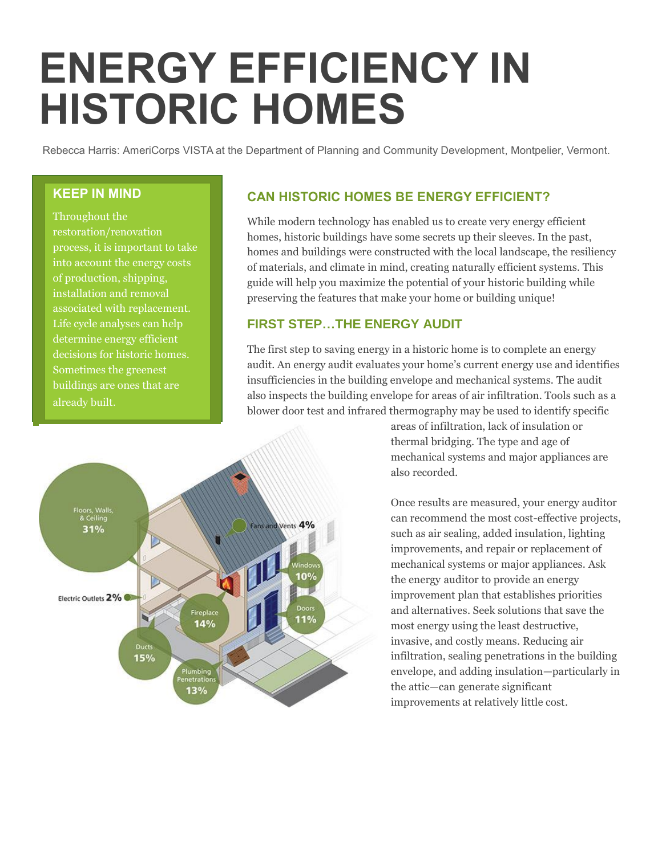# **ENERGY EFFICIENCY IN HISTORIC HOMES**

Rebecca Harris: AmeriCorps VISTA at the Department of Planning and Community Development, Montpelier, Vermont.

#### **KEEP IN MIND**

Throughout the process, it is important to take into account the energy costs of production, shipping, installation and removal associated with replacement. Life cycle analyses can help determine energy efficient decisions for historic homes. Sometimes the greenest buildings are ones that are

## **CAN HISTORIC HOMES BE ENERGY EFFICIENT?**

While modern technology has enabled us to create very energy efficient homes, historic buildings have some secrets up their sleeves. In the past, homes and buildings were constructed with the local landscape, the resiliency of materials, and climate in mind, creating naturally efficient systems. This guide will help you maximize the potential of your historic building while preserving the features that make your home or building unique!

### **FIRST STEP…THE ENERGY AUDIT**

The first step to saving energy in a historic home is to complete an energy audit. An energy audit evaluates your home's current energy use and identifies insufficiencies in the building envelope and mechanical systems. The audit also inspects the building envelope for areas of air infiltration. Tools such as a blower door test and infrared thermography may be used to identify specific



areas of infiltration, lack of insulation or thermal bridging. The type and age of mechanical systems and major appliances are also recorded.

Once results are measured, your energy auditor can recommend the most cost-effective projects, such as air sealing, added insulation, lighting improvements, and repair or replacement of mechanical systems or major appliances. Ask the energy auditor to provide an energy improvement plan that establishes priorities and alternatives. Seek solutions that save the most energy using the least destructive, invasive, and costly means. Reducing air infiltration, sealing penetrations in the building envelope, and adding insulation—particularly in the attic—can generate significant improvements at relatively little cost.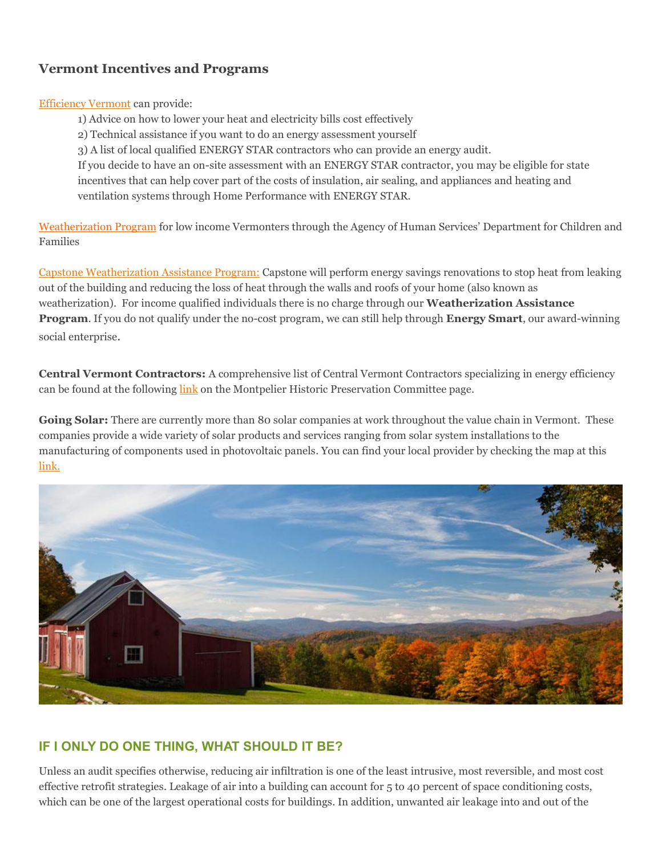# **Vermont Incentives and Programs**

[Efficiency Vermont](https://www.efficiencyvermont.com/services/energy-assessments/home-energy-assessments) can provide:

- 1) Advice on how to lower your heat and electricity bills cost effectively
- 2) Technical assistance if you want to do an energy assessment yourself
- 3) A list of local qualified ENERGY STAR contractors who can provide an energy audit.

If you decide to have an on-site assessment with an ENERGY STAR contractor, you may be eligible for state incentives that can help cover part of the costs of insulation, air sealing, and appliances and heating and ventilation systems through Home Performance with ENERGY STAR.

[Weatherization](http://dcf.vermont.gov/benefits/weatherization) Program for low income Vermonters through the Agency of Human Services' Department for Children and Families

[Capstone Weatherization Assistance Program:](http://www.capstonevt.org/weatherization/weatherization-and-energy-efficiency-services) Capstone will perform energy savings renovations to stop heat from leaking out of the building and reducing the loss of heat through the walls and roofs of your home (also known as weatherization). For income qualified individuals there is no charge through our **Weatherization Assistance Program**. If you do not qualify under the no-cost program, we can still help through **Energy Smart**, our award-winning social enterprise.

**Central Vermont Contractors:** A comprehensive list of Central Vermont Contractors specializing in energy efficiency can be found at the following [link](http://www.montpelier-vt.org/DocumentCenter/Home/View/3864) on the Montpelier Historic Preservation Committee page.

Going Solar: There are currently more than 80 solar companies at work throughout the value chain in Vermont. These companies provide a wide variety of solar products and services ranging from solar system installations to the manufacturing of components used in photovoltaic panels. You can find your local provider by checking the map at this [link.](http://www.seia.org/state-solar-policy/vermont)



# **IF I ONLY DO ONE THING, WHAT SHOULD IT BE?**

Unless an audit specifies otherwise, reducing air infiltration is one of the least intrusive, most reversible, and most cost effective retrofit strategies. Leakage of air into a building can account for 5 to 40 percent of space conditioning costs, which can be one of the largest operational costs for buildings. In addition, unwanted air leakage into and out of the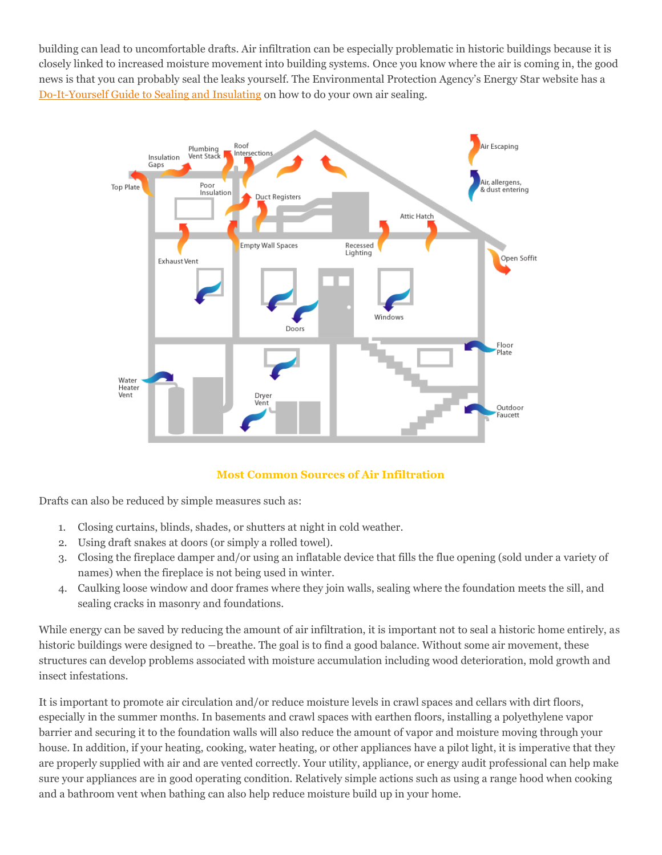building can lead to uncomfortable drafts. Air infiltration can be especially problematic in historic buildings because it is closely linked to increased moisture movement into building systems. Once you know where the air is coming in, the good news is that you can probably seal the leaks yourself. The Environmental Protection Agency's Energy Star website has a [Do-It-Yourself Guide to Sealing and Insulating](https://www.energystar.gov/index.cfm?c=diy.diy_index) on how to do your own air sealing.



#### **Most Common Sources of Air Infiltration**

Drafts can also be reduced by simple measures such as:

- 1. Closing curtains, blinds, shades, or shutters at night in cold weather.
- 2. Using draft snakes at doors (or simply a rolled towel).
- 3. Closing the fireplace damper and/or using an inflatable device that fills the flue opening (sold under a variety of names) when the fireplace is not being used in winter.
- 4. Caulking loose window and door frames where they join walls, sealing where the foundation meets the sill, and sealing cracks in masonry and foundations.

While energy can be saved by reducing the amount of air infiltration, it is important not to seal a historic home entirely, as historic buildings were designed to —breathe. The goal is to find a good balance. Without some air movement, these structures can develop problems associated with moisture accumulation including wood deterioration, mold growth and insect infestations.

It is important to promote air circulation and/or reduce moisture levels in crawl spaces and cellars with dirt floors, especially in the summer months. In basements and crawl spaces with earthen floors, installing a polyethylene vapor barrier and securing it to the foundation walls will also reduce the amount of vapor and moisture moving through your house. In addition, if your heating, cooking, water heating, or other appliances have a pilot light, it is imperative that they are properly supplied with air and are vented correctly. Your utility, appliance, or energy audit professional can help make sure your appliances are in good operating condition. Relatively simple actions such as using a range hood when cooking and a bathroom vent when bathing can also help reduce moisture build up in your home.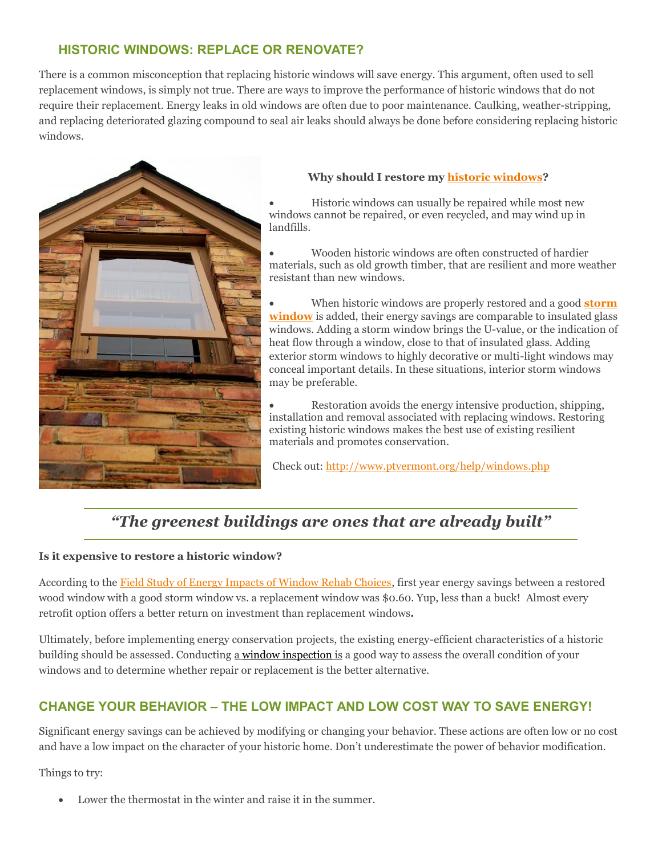# **HISTORIC WINDOWS: REPLACE OR RENOVATE?**

There is a common misconception that replacing historic windows will save energy. This argument, often used to sell replacement windows, is simply not true. There are ways to improve the performance of historic windows that do not require their replacement. Energy leaks in old windows are often due to poor maintenance. Caulking, weather-stripping, and replacing deteriorated glazing compound to seal air leaks should always be done before considering replacing historic windows.



#### **Why should I restore my [historic windows?](http://www.ptvermont.org/help/windows.php)**

 Historic windows can usually be repaired while most new windows cannot be repaired, or even recycled, and may wind up in landfills.

 Wooden historic windows are often constructed of hardier materials, such as old growth timber, that are resilient and more weather resistant than new windows.

 When historic windows are properly restored and a good **[storm](https://www.efficiencyvermont.com/tips-tools/guides/how-to-choose-and-install-storm-windows)  [window](https://www.efficiencyvermont.com/tips-tools/guides/how-to-choose-and-install-storm-windows)** is added, their energy savings are comparable to insulated glass windows. Adding a storm window brings the U-value, or the indication of heat flow through a window, close to that of insulated glass. Adding exterior storm windows to highly decorative or multi-light windows may conceal important details. In these situations, interior storm windows may be preferable.

 Restoration avoids the energy intensive production, shipping, installation and removal associated with replacing windows. Restoring existing historic windows makes the best use of existing resilient materials and promotes conservation.

Check out[: http://www.ptvermont.org/help/windows.php](http://www.ptvermont.org/help/windows.php)

# *"The greenest buildings are ones that are already built"*

#### **Is it expensive to restore a historic window?**

According to the [Field Study of Energy Impacts of Window Rehab Choices,](http://www.windowrestorationne.org/topten.pdf) first year energy savings between a restored wood window with a good storm window vs. a replacement window was \$0.60. Yup, less than a buck! Almost every retrofit option offers a better return on investment than replacement windows**.**

Ultimately, before implementing energy conservation projects, the existing energy-efficient characteristics of a historic building should be assessed. Conducting a window [inspection](https://www.nps.gov/tps/sustainability/energy-efficiency/weatherization/windows-doors.htm#inspection) is a good way to assess the overall condition of your windows and to determine whether repair or replacement is the better alternative.

# **CHANGE YOUR BEHAVIOR – THE LOW IMPACT AND LOW COST WAY TO SAVE ENERGY!**

Significant energy savings can be achieved by modifying or changing your behavior. These actions are often low or no cost and have a low impact on the character of your historic home. Don't underestimate the power of behavior modification.

Things to try:

Lower the thermostat in the winter and raise it in the summer.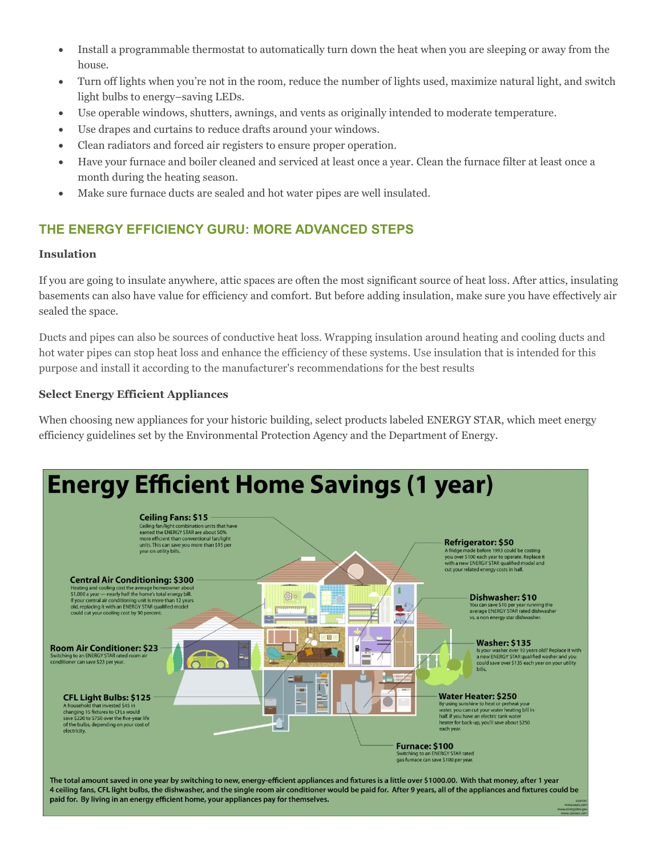- Install a programmable thermostat to automatically turn down the heat when you are sleeping or away from the house.
- Turn off lights when you're not in the room, reduce the number of lights used, maximize natural light, and switch light bulbs to energy–saving LEDs.
- Use operable windows, shutters, awnings, and vents as originally intended to moderate temperature.
- Use drapes and curtains to reduce drafts around your windows.
- Clean radiators and forced air registers to ensure proper operation.
- Have your furnace and boiler cleaned and serviced at least once a year. Clean the furnace filter at least once a month during the heating season.
- Make sure furnace ducts are sealed and hot water pipes are well insulated.

# **THE ENERGY EFFICIENCY GURU: MORE ADVANCED STEPS**

#### **Insulation**

If you are going to insulate anywhere, attic spaces are often the most significant source of heat loss. After attics, insulating basements can also have value for efficiency and comfort. But before adding insulation, make sure you have effectively air sealed the space.

Ducts and pipes can also be sources of conductive heat loss. Wrapping insulation around heating and cooling ducts and hot water pipes can stop heat loss and enhance the efficiency of these systems. Use insulation that is intended for this purpose and install it according to the manufacturer's recommendations for the best results

#### **Select Energy Efficient Appliances**

When choosing new appliances for your historic building, select products labeled ENERGY STAR, which meet energy efficiency guidelines set by the Environmental Protection Agency and the Department of Energy.



The total amount saved in one year by switching to new, energy-efficient appliances and fixtures is a little over \$1000.00. With that money, after 1 year 4 ceiling fans, CFL light bulbs, the dishwasher, and the single room air conditioner would be paid for. After 9 years, all of the appliances and fixtures could be paid for. By living in an energy efficient home, your appliances pay for themselves.